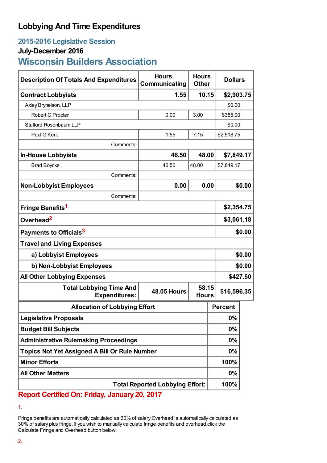# **Lobbying And Time Expenditures**

# **2015-2016 Legislative Session**

### **July-December 2016**

# **Wisconsin Builders Association**

| <b>Description Of Totals And Expenditures</b>          | <b>Hours</b><br>Communicating | <b>Hours</b><br><b>Other</b> | <b>Dollars</b> |             |  |
|--------------------------------------------------------|-------------------------------|------------------------------|----------------|-------------|--|
| <b>Contract Lobbyists</b>                              | 1.55                          | 10.15                        | \$2,903.75     |             |  |
| Axley Brynelson, LLP                                   |                               |                              |                | \$0.00      |  |
| Robert C Procter                                       | 0.00                          | 3.00                         |                | \$385.00    |  |
| <b>Stafford Rosenbaum LLP</b>                          |                               |                              |                | \$0.00      |  |
| Paul G Kent                                            | 1.55                          | 7.15                         |                | \$2,518.75  |  |
| Comments:                                              |                               |                              |                |             |  |
| <b>In-House Lobbyists</b>                              | 46.50                         | 48.00                        |                | \$7,849.17  |  |
| <b>Brad Boycks</b>                                     | 46.50                         | 48.00                        |                | \$7,849.17  |  |
| Comments:                                              |                               |                              |                |             |  |
| <b>Non-Lobbyist Employees</b>                          | 0.00                          |                              | 0.00<br>\$0.00 |             |  |
| Comments:                                              |                               |                              |                |             |  |
| Fringe Benefits <sup>1</sup>                           |                               |                              |                | \$2,354.75  |  |
| Overhead <sup>2</sup>                                  |                               |                              |                | \$3,061.18  |  |
| Payments to Officials <sup>3</sup>                     |                               |                              |                | \$0.00      |  |
| <b>Travel and Living Expenses</b>                      |                               |                              |                |             |  |
| a) Lobbyist Employees                                  |                               |                              |                | \$0.00      |  |
| b) Non-Lobbyist Employees                              |                               |                              |                | \$0.00      |  |
| <b>All Other Lobbying Expenses</b>                     |                               |                              |                | \$427.50    |  |
| <b>Total Lobbying Time And</b><br><b>Expenditures:</b> | <b>48.05 Hours</b>            | 58.15<br><b>Hours</b>        |                | \$16,596.35 |  |
| <b>Allocation of Lobbying Effort</b>                   |                               |                              | <b>Percent</b> |             |  |
| <b>Legislative Proposals</b>                           |                               |                              |                | 0%          |  |
| <b>Budget Bill Subjects</b>                            |                               |                              |                | 0%          |  |
| <b>Administrative Rulemaking Proceedings</b>           |                               |                              | $0\%$          |             |  |
| <b>Topics Not Yet Assigned A Bill Or Rule Number</b>   |                               |                              |                | $0\%$       |  |
| <b>Minor Efforts</b>                                   |                               |                              | 100%           |             |  |
| <b>All Other Matters</b>                               |                               |                              | 0%             |             |  |
| <b>Total Reported Lobbying Effort:</b><br>חר           |                               |                              |                | 100%        |  |

**Report Certified On: Friday, January 20, 2017**

<sup>1.</sup>

Fringe benefits are automatically calculated as 30% of salary.Overhead is automatically calculated as 30% of salary plus fringe. If you wish to manually calculate fringe benefits and overhead,click the Calculate Fringe and Overhead button below: